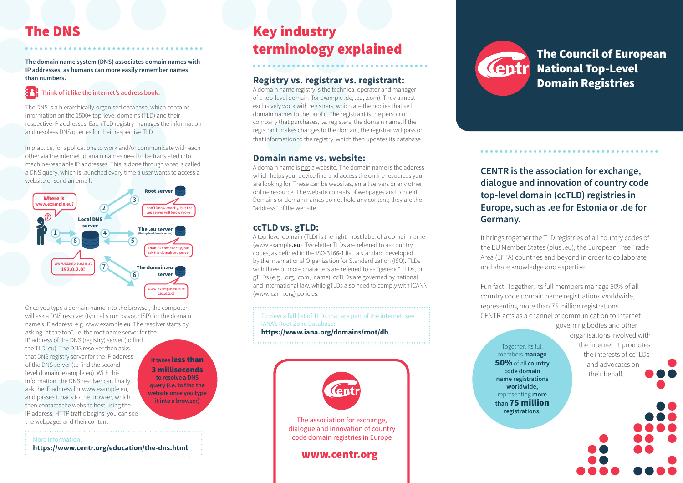# The DNS

**The domain name system (DNS) associates domain names with IP addresses, as humans can more easily remember names than numbers.**

# **Think of it like the internet's address book.**

The DNS is a hierarchically-organised database, which contains information on the 1500+ top-level domains (TLD) and their respective IP addresses. Each TLD registry manages the information and resolves DNS queries for their respective TLD.

In practice, for applications to work and/or communicate with each other via the internet, domain names need to be translated into machine-readable IP addresses. This is done through what is called a DNS query, which is launched every time a user wants to access a website or send an email.



Once you type a domain name into the browser, the computer will ask a DNS resolver (typically run by your ISP) for the domain name's IP address, e.g. www.example.eu. The resolver starts by asking "at the top", i.e. the root name server for the IP address of the DNS (registry) server (to find the TLD .eu). The DNS resolver then asks that DNS registry server for the IP address **It takes** less than of the DNS server (to find the second-3 milliseconds level domain, example.eu). With this **to resolve a DNS**  information, the DNS resolver can finally **query (i.e. to find the**  ask the IP address for www.example.eu, **website once you type**  and passes it back to the browser, which **it into a browser)** then contacts the website host using the IP address. HTTP traffic begins: you can see the webpages and their content. 

More information:

#### **https://www.centr.org/education/the-dns.html**

# Key industry terminology explained

## **Registry vs. registrar vs. registrant:**

A domain name registry is the technical operator and manager of a top-level domain (for example .de, .eu, .com). They almost exclusively work with registrars, which are the bodies that sell domain names to the public. The registrant is the person or company that purchases, i.e. registers, the domain name. If the registrant makes changes to the domain, the registrar will pass on that information to the registry, which then updates its database.

### **Domain name vs. website:**

A domain name is not a website. The domain name is the address which helps your device find and access the online resources you are looking for. These can be websites, email servers or any other online resource. The website consists of webpages and content. Domains or domain names do not hold any content; they are the "address" of the website.

# **ccTLD vs. gTLD:**

A top-level domain (TLD) is the right-most label of a domain name (www.example**.eu**). Two-letter TLDs are referred to as country codes, as defined in the ISO-3166-1 list, a standard developed by the International Organization for Standardization (ISO). TLDs with three or more characters are referred to as "generic" TLDs, or gTLDs (e.g., .org, .com, .name). ccTLDs are governed by national and international law, while gTLDs also need to comply with ICANN (www.icann.org) policies.

To view a full list of TLDs that are part of the internet, see IANA's Root Zone Database: **https://www.iana.org/domains/root/db**





**CENTR is the association for exchange, dialogue and innovation of country code top-level domain (ccTLD) registries in Europe, such as .ee for Estonia or .de for Germany.** 

It brings together the TLD registries of all country codes of the EU Member States (plus .eu), the European Free Trade Area (EFTA) countries and beyond in order to collaborate and share knowledge and expertise.

Fun fact: Together, its full members manage 50% of all country code domain name registrations worldwide, representing more than 75 million registrations. CENTR acts as a channel of communication to internet

Together, its full members **manage**  50% of all **country code domain name registrations worldwide,**  representing **more than** 75 million

**registrations.** 

governing bodies and other organisations involved with the internet. It promotes the interests of ccTLDs and advocates on their behalf.